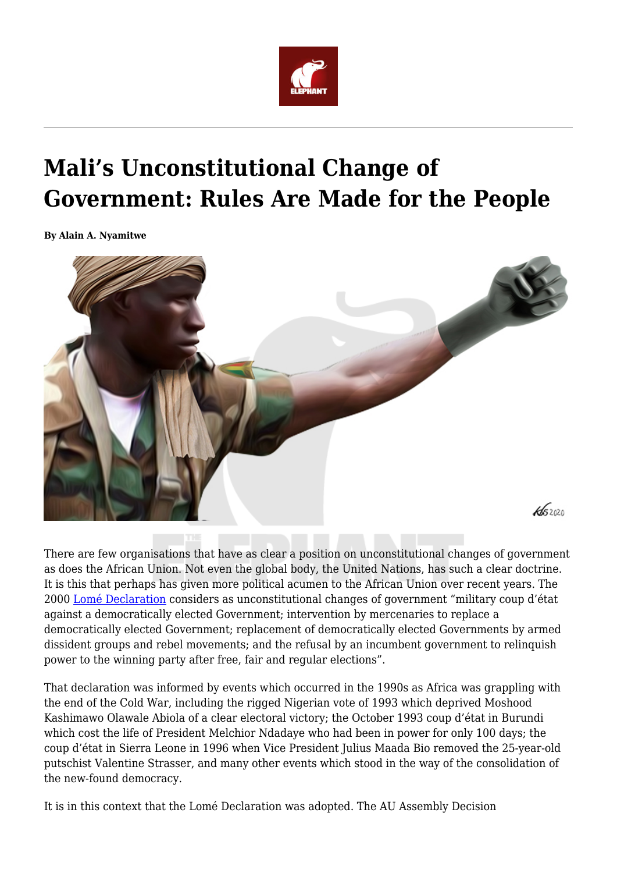

## **Mali's Unconstitutional Change of Government: Rules Are Made for the People**

**By Alain A. Nyamitwe**



There are few organisations that have as clear a position on unconstitutional changes of government as does the African Union. Not even the global body, the United Nations, has such a clear doctrine. It is this that perhaps has given more political acumen to the African Union over recent years. The 2000 [Lomé Declaration](https://www.peaceau.org/uploads/ahg-decl-5-xxxvi-e.pdf) considers as unconstitutional changes of government "military coup d'état against a democratically elected Government; intervention by mercenaries to replace a democratically elected Government; replacement of democratically elected Governments by armed dissident groups and rebel movements; and the refusal by an incumbent government to relinquish power to the winning party after free, fair and regular elections".

That declaration was informed by events which occurred in the 1990s as Africa was grappling with the end of the Cold War, including the rigged Nigerian vote of 1993 which deprived Moshood Kashimawo Olawale Abiola of a clear electoral victory; the October 1993 coup d'état in Burundi which cost the life of President Melchior Ndadaye who had been in power for only 100 days; the coup d'état in Sierra Leone in 1996 when Vice President Julius Maada Bio removed the 25-year-old putschist Valentine Strasser, and many other events which stood in the way of the consolidation of the new-found democracy.

It is in this context that the Lomé Declaration was adopted. The AU Assembly Decision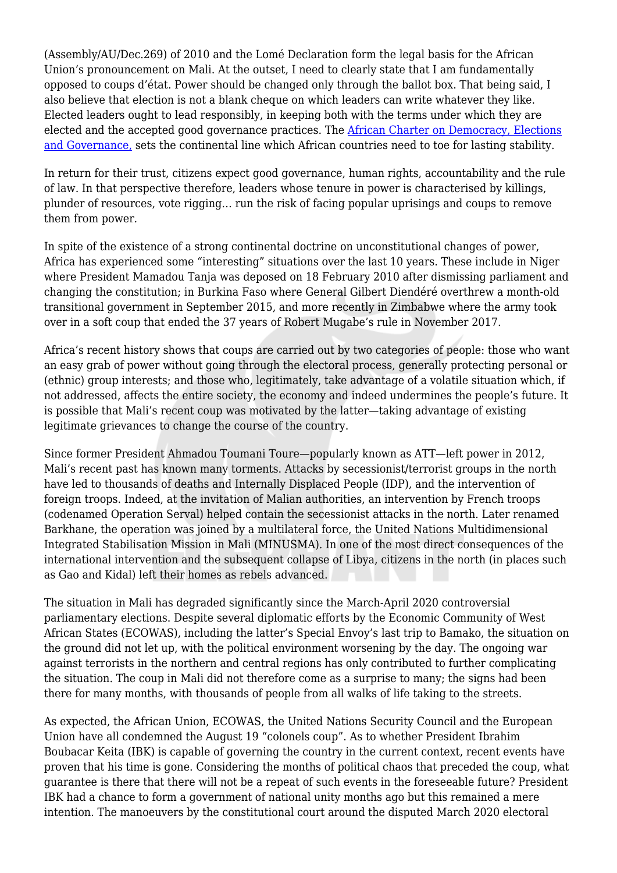(Assembly/AU/Dec.269) of 2010 and the Lomé Declaration form the legal basis for the African Union's pronouncement on Mali. At the outset, I need to clearly state that I am fundamentally opposed to coups d'état. Power should be changed only through the ballot box. That being said, I also believe that election is not a blank cheque on which leaders can write whatever they like. Elected leaders ought to lead responsibly, in keeping both with the terms under which they are elected and the accepted good governance practices. The [African Charter on Democracy, Elections](https://au.int/en/treaties/african-charter-democracy-elections-and-governance) [and Governance,](https://au.int/en/treaties/african-charter-democracy-elections-and-governance) sets the continental line which African countries need to toe for lasting stability.

In return for their trust, citizens expect good governance, human rights, accountability and the rule of law. In that perspective therefore, leaders whose tenure in power is characterised by killings, plunder of resources, vote rigging… run the risk of facing popular uprisings and coups to remove them from power.

In spite of the existence of a strong continental doctrine on unconstitutional changes of power, Africa has experienced some "interesting" situations over the last 10 years. These include in Niger where President Mamadou Tanja was deposed on 18 February 2010 after dismissing parliament and changing the constitution; in Burkina Faso where General Gilbert Diendéré overthrew a month-old transitional government in September 2015, and more recently in Zimbabwe where the army took over in a soft coup that ended the 37 years of Robert Mugabe's rule in November 2017.

Africa's recent history shows that coups are carried out by two categories of people: those who want an easy grab of power without going through the electoral process, generally protecting personal or (ethnic) group interests; and those who, legitimately, take advantage of a volatile situation which, if not addressed, affects the entire society, the economy and indeed undermines the people's future. It is possible that Mali's recent coup was motivated by the latter—taking advantage of existing legitimate grievances to change the course of the country.

Since former President Ahmadou Toumani Toure—popularly known as ATT—left power in 2012, Mali's recent past has known many torments. Attacks by secessionist/terrorist groups in the north have led to thousands of deaths and Internally Displaced People (IDP), and the intervention of foreign troops. Indeed, at the invitation of Malian authorities, an intervention by French troops (codenamed Operation Serval) helped contain the secessionist attacks in the north. Later renamed Barkhane, the operation was joined by a multilateral force, the United Nations Multidimensional Integrated Stabilisation Mission in Mali (MINUSMA). In one of the most direct consequences of the international intervention and the subsequent collapse of Libya, citizens in the north (in places such as Gao and Kidal) left their homes as rebels advanced.

The situation in Mali has degraded significantly since the March-April 2020 controversial parliamentary elections. Despite several diplomatic efforts by the Economic Community of West African States (ECOWAS), including the latter's Special Envoy's last trip to Bamako, the situation on the ground did not let up, with the political environment worsening by the day. The ongoing war against terrorists in the northern and central regions has only contributed to further complicating the situation. The coup in Mali did not therefore come as a surprise to many; the signs had been there for many months, with thousands of people from all walks of life taking to the streets.

As expected, the African Union, ECOWAS, the United Nations Security Council and the European Union have all condemned the August 19 "colonels coup". As to whether President Ibrahim Boubacar Keita (IBK) is capable of governing the country in the current context, recent events have proven that his time is gone. Considering the months of political chaos that preceded the coup, what guarantee is there that there will not be a repeat of such events in the foreseeable future? President IBK had a chance to form a government of national unity months ago but this remained a mere intention. The manoeuvers by the constitutional court around the disputed March 2020 electoral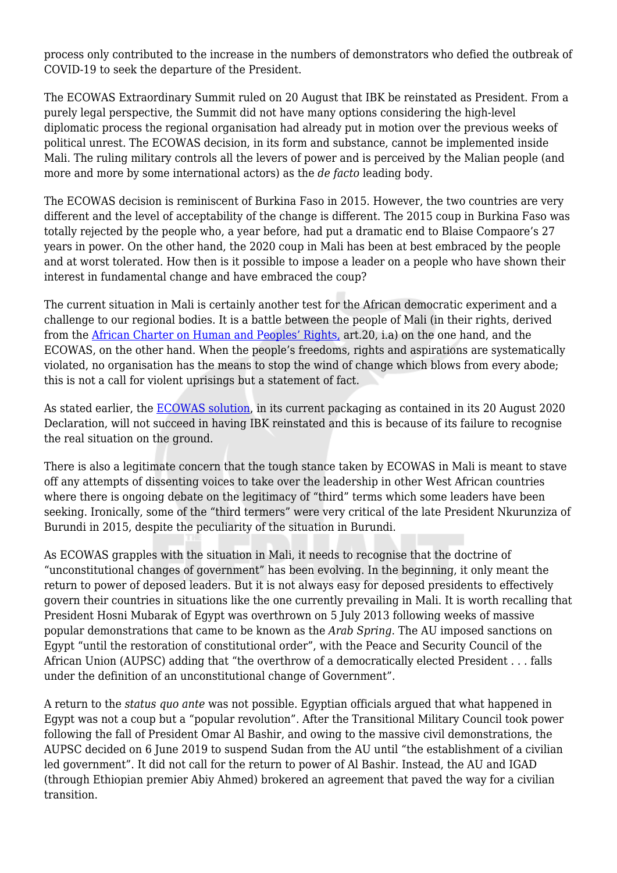process only contributed to the increase in the numbers of demonstrators who defied the outbreak of COVID-19 to seek the departure of the President.

The ECOWAS Extraordinary Summit ruled on 20 August that IBK be reinstated as President. From a purely legal perspective, the Summit did not have many options considering the high-level diplomatic process the regional organisation had already put in motion over the previous weeks of political unrest. The ECOWAS decision, in its form and substance, cannot be implemented inside Mali. The ruling military controls all the levers of power and is perceived by the Malian people (and more and more by some international actors) as the *de facto* leading body.

The ECOWAS decision is reminiscent of Burkina Faso in 2015. However, the two countries are very different and the level of acceptability of the change is different. The 2015 coup in Burkina Faso was totally rejected by the people who, a year before, had put a dramatic end to Blaise Compaore's 27 years in power. On the other hand, the 2020 coup in Mali has been at best embraced by the people and at worst tolerated. How then is it possible to impose a leader on a people who have shown their interest in fundamental change and have embraced the coup?

The current situation in Mali is certainly another test for the African democratic experiment and a challenge to our regional bodies. It is a battle between the people of Mali (in their rights, derived from the [African Charter on Human and Peoples' Rights,](https://au.int/en/treaties/african-charter-human-and-peoples-rights) art.20, i.a) on the one hand, and the ECOWAS, on the other hand. When the people's freedoms, rights and aspirations are systematically violated, no organisation has the means to stop the wind of change which blows from every abode; this is not a call for violent uprisings but a statement of fact.

As stated earlier, the **ECOWAS** solution, in its current packaging as contained in its 20 August 2020 Declaration, will not succeed in having IBK reinstated and this is because of its failure to recognise the real situation on the ground.

There is also a legitimate concern that the tough stance taken by ECOWAS in Mali is meant to stave off any attempts of dissenting voices to take over the leadership in other West African countries where there is ongoing debate on the legitimacy of "third" terms which some leaders have been seeking. Ironically, some of the "third termers" were very critical of the late President Nkurunziza of Burundi in 2015, despite the peculiarity of the situation in Burundi.

As ECOWAS grapples with the situation in Mali, it needs to recognise that the doctrine of "unconstitutional changes of government" has been evolving. In the beginning, it only meant the return to power of deposed leaders. But it is not always easy for deposed presidents to effectively govern their countries in situations like the one currently prevailing in Mali. It is worth recalling that President Hosni Mubarak of Egypt was overthrown on 5 July 2013 following weeks of massive popular demonstrations that came to be known as the *Arab Spring*. The AU imposed sanctions on Egypt "until the restoration of constitutional order", with the Peace and Security Council of the African Union (AUPSC) adding that "the overthrow of a democratically elected President . . . falls under the definition of an unconstitutional change of Government".

A return to the *status quo ante* was not possible. Egyptian officials argued that what happened in Egypt was not a coup but a "popular revolution". After the Transitional Military Council took power following the fall of President Omar Al Bashir, and owing to the massive civil demonstrations, the AUPSC decided on 6 June 2019 to suspend Sudan from the AU until "the establishment of a civilian led government". It did not call for the return to power of Al Bashir. Instead, the AU and IGAD (through Ethiopian premier Abiy Ahmed) brokered an agreement that paved the way for a civilian transition.